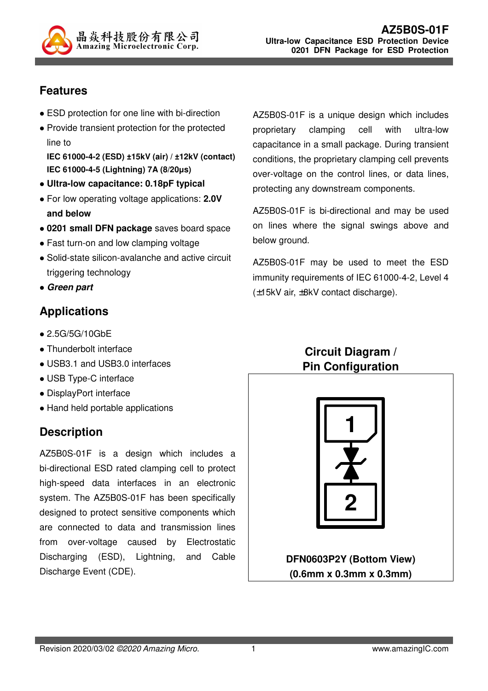

## **Features**

- ESD protection for one line with bi-direction
- Provide transient protection for the protected line to **IEC 61000-4-2 (ESD) ±15kV (air) / ±12kV (contact)**

**IEC 61000-4-5 (Lightning) 7A (8/20µs)** 

- **Ultra-low capacitance: 0.18pF typical**
- For low operating voltage applications: **2.0V and below**
- **0201 small DFN package** saves board space
- Fast turn-on and low clamping voltage
- Solid-state silicon-avalanche and active circuit triggering technology
- **Green part**

## **Applications**

- 2.5G/5G/10GbE
- Thunderbolt interface
- USB3.1 and USB3.0 interfaces
- USB Type-C interface
- DisplayPort interface
- Hand held portable applications

# **Description**

AZ5B0S-01F is a design which includes a bi-directional ESD rated clamping cell to protect high-speed data interfaces in an electronic system. The AZ5B0S-01F has been specifically designed to protect sensitive components which are connected to data and transmission lines from over-voltage caused by Electrostatic Discharging (ESD), Lightning, and Cable Discharge Event (CDE).

AZ5B0S-01F is a unique design which includes proprietary clamping cell with ultra-low capacitance in a small package. During transient conditions, the proprietary clamping cell prevents over-voltage on the control lines, or data lines, protecting any downstream components.

AZ5B0S-01F is bi-directional and may be used on lines where the signal swings above and below ground.

AZ5B0S-01F may be used to meet the ESD immunity requirements of IEC 61000-4-2, Level 4 (±15kV air, ±8kV contact discharge).

## **Circuit Diagram / Pin Configuration**



**DFN0603P2Y (Bottom View) (0.6mm x 0.3mm x 0.3mm)**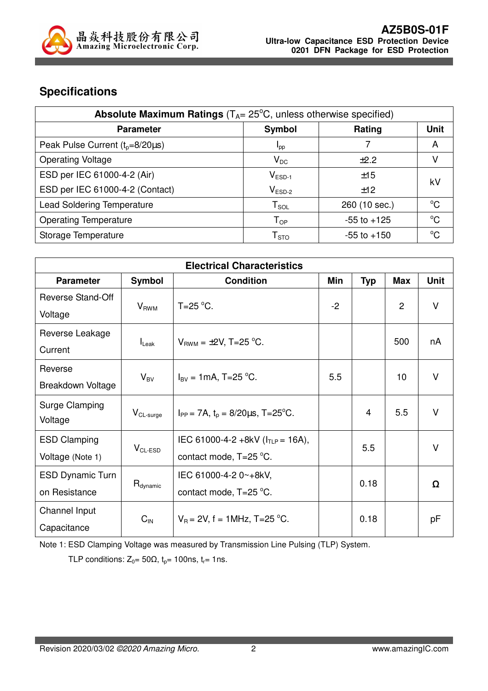

# **Specifications**

| <b>Absolute Maximum Ratings</b> ( $T_A = 25^\circ C$ , unless otherwise specified) |                            |                 |             |  |
|------------------------------------------------------------------------------------|----------------------------|-----------------|-------------|--|
| <b>Parameter</b>                                                                   | Symbol                     | Rating          | <b>Unit</b> |  |
| Peak Pulse Current $(t_0=8/20\mu s)$                                               | <b>I</b> pp                |                 | A           |  |
| <b>Operating Voltage</b>                                                           | $V_{DC}$                   | $+2.2$          |             |  |
| ESD per IEC 61000-4-2 (Air)                                                        | $V_{ESD-1}$                | ±15             |             |  |
| ESD per IEC 61000-4-2 (Contact)                                                    | $V_{ESD-2}$                | ±12             | kV          |  |
| <b>Lead Soldering Temperature</b>                                                  | ${\sf T}_{\sf SOL}$        | 260 (10 sec.)   | $^{\circ}C$ |  |
| <b>Operating Temperature</b>                                                       | $\mathsf{T}_{\mathsf{OP}}$ | $-55$ to $+125$ | $^{\circ}C$ |  |
| Storage Temperature                                                                | ${\sf T}_{\text{STO}}$     | $-55$ to $+150$ | $^{\circ}C$ |  |

| <b>Electrical Characteristics</b> |                          |                                              |      |            |                 |             |
|-----------------------------------|--------------------------|----------------------------------------------|------|------------|-----------------|-------------|
| <b>Parameter</b>                  | <b>Symbol</b>            | <b>Condition</b>                             | Min  | <b>Typ</b> | <b>Max</b>      | <b>Unit</b> |
| Reverse Stand-Off                 |                          | T=25 $\mathrm{^{\circ}C}$ .                  | $-2$ |            | $\overline{2}$  | $\vee$      |
| Voltage                           | $V_{RWM}$                |                                              |      |            |                 |             |
| Reverse Leakage                   |                          | $V_{BWM} = \pm 2V$ , T=25 °C.                |      |            | 500             | nA          |
| Current                           | $I_{\mathsf{Leak}}$      |                                              |      |            |                 |             |
| Reverse                           |                          | $I_{\text{BV}} = 1 \text{mA}$ , T=25 °C.     | 5.5  |            | 10 <sup>1</sup> | $\vee$      |
| Breakdown Voltage                 | $\mathsf{V}_\mathsf{BV}$ |                                              |      |            |                 |             |
| Surge Clamping                    |                          |                                              |      | 4          | 5.5             | $\vee$      |
| Voltage                           | $V_{CL-surge}$           | $I_{PP}$ = 7A, $t_0$ = 8/20 $\mu$ s, T=25°C. |      |            |                 |             |
| <b>ESD Clamping</b>               |                          | IEC 61000-4-2 +8kV ( $I_{TLP}$ = 16A),       |      |            |                 | $\vee$      |
| Voltage (Note 1)                  | $V_{CL-ESD}$             | contact mode, T=25 °C.                       |      | 5.5        |                 |             |
| <b>ESD Dynamic Turn</b>           |                          | IEC 61000-4-2 0~+8kV,                        |      |            |                 | Ω           |
| on Resistance                     | R <sub>dynamic</sub>     | contact mode, T=25 °C.                       |      | 0.18       |                 |             |
| Channel Input                     |                          |                                              |      | 0.18       |                 |             |
| Capacitance                       | $C_{\text{IN}}$          | $V_B = 2V$ , f = 1MHz, T=25 °C.              |      |            |                 | pF          |

Note 1: ESD Clamping Voltage was measured by Transmission Line Pulsing (TLP) System.

TLP conditions:  $Z_0 = 50\Omega$ ,  $t_p = 100$ ns,  $t_r = 1$ ns.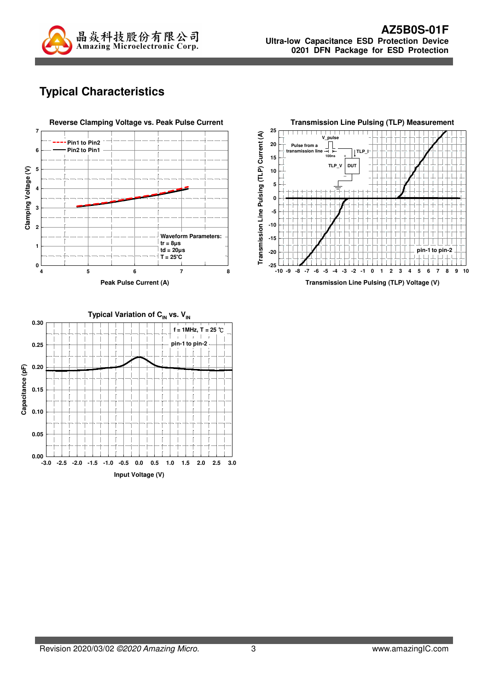

# **Typical Characteristics**





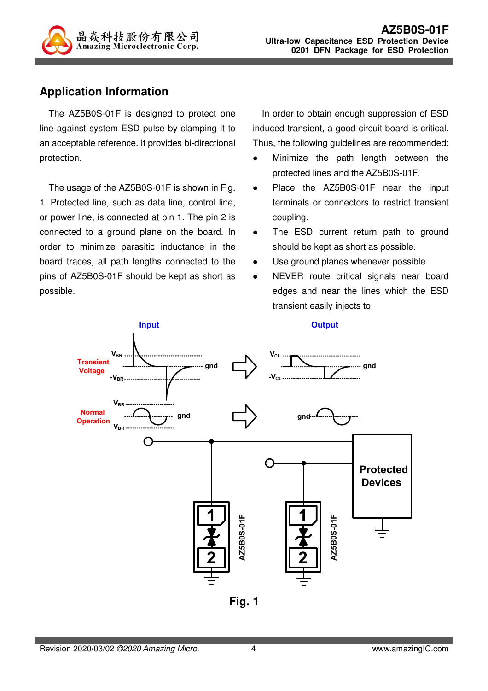

### **Application Information**

The AZ5B0S-01F is designed to protect one line against system ESD pulse by clamping it to an acceptable reference. It provides bi-directional protection.

The usage of the AZ5B0S-01F is shown in Fig. 1. Protected line, such as data line, control line, or power line, is connected at pin 1. The pin 2 is connected to a ground plane on the board. In order to minimize parasitic inductance in the board traces, all path lengths connected to the pins of AZ5B0S-01F should be kept as short as possible.

In order to obtain enough suppression of ESD induced transient, a good circuit board is critical. Thus, the following guidelines are recommended:

- Minimize the path length between the protected lines and the AZ5B0S-01F.
- Place the AZ5B0S-01F near the input terminals or connectors to restrict transient coupling.
- The ESD current return path to ground should be kept as short as possible.
- Use ground planes whenever possible.
- NEVER route critical signals near board edges and near the lines which the ESD transient easily injects to.



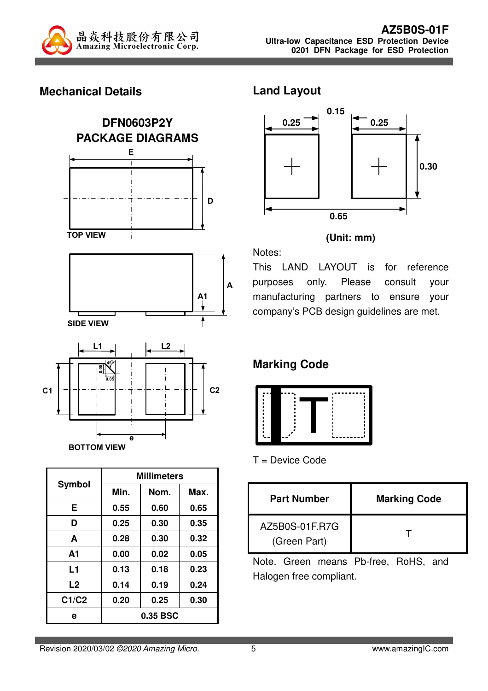

### **Mechanical Details**



|                | <b>Millimeters</b> |      |      |  |
|----------------|--------------------|------|------|--|
| Symbol         | Min.<br>Nom.       |      | Max. |  |
| E              | 0.55               | 0.60 | 0.65 |  |
| D              | 0.25               | 0.30 | 0.35 |  |
| A              | 0.28               | 0.30 | 0.32 |  |
| A <sub>1</sub> | 0.00               | 0.02 | 0.05 |  |
| L1             | 0.13               | 0.18 | 0.23 |  |
| L2             | 0.14               | 0.19 | 0.24 |  |
| C1/C2          | 0.20               | 0.25 | 0.30 |  |
| е              | 0.35 BSC           |      |      |  |

#### **Land Layout**



#### **(Unit: mm)**

Notes:

This LAND LAYOUT is for reference purposes only. Please consult your manufacturing partners to ensure your company's PCB design guidelines are met.

# **Marking Code**



T = Device Code

| <b>Part Number</b>             | <b>Marking Code</b> |
|--------------------------------|---------------------|
| AZ5B0S-01F.R7G<br>(Green Part) |                     |

Note. Green means Pb-free, RoHS, and Halogen free compliant.